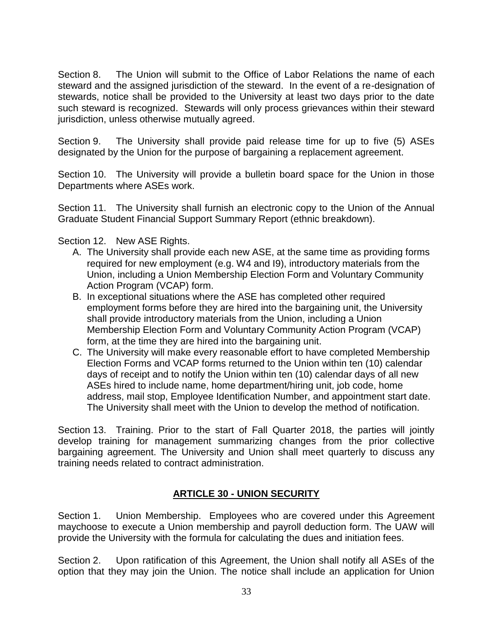Section 8. The Union will submit to the Office of Labor Relations the name of each steward and the assigned jurisdiction of the steward. In the event of a re-designation of stewards, notice shall be provided to the University at least two days prior to the date such steward is recognized. Stewards will only process grievances within their steward jurisdiction, unless otherwise mutually agreed.

Section 9. The University shall provide paid release time for up to five (5) ASEs designated by the Union for the purpose of bargaining a replacement agreement.

Section 10. The University will provide a bulletin board space for the Union in those Departments where ASEs work.

Section 11. The University shall furnish an electronic copy to the Union of the Annual Graduate Student Financial Support Summary Report (ethnic breakdown).

Section 12. New ASE Rights.

- A. The University shall provide each new ASE, at the same time as providing forms required for new employment (e.g. W4 and I9), introductory materials from the Union, including a Union Membership Election Form and Voluntary Community Action Program (VCAP) form.
- B. In exceptional situations where the ASE has completed other required employment forms before they are hired into the bargaining unit, the University shall provide introductory materials from the Union, including a Union Membership Election Form and Voluntary Community Action Program (VCAP) form, at the time they are hired into the bargaining unit.
- C. The University will make every reasonable effort to have completed Membership Election Forms and VCAP forms returned to the Union within ten (10) calendar days of receipt and to notify the Union within ten (10) calendar days of all new ASEs hired to include name, home department/hiring unit, job code, home address, mail stop, Employee Identification Number, and appointment start date. The University shall meet with the Union to develop the method of notification.

Section 13. Training. Prior to the start of Fall Quarter 2018, the parties will jointly develop training for management summarizing changes from the prior collective bargaining agreement. The University and Union shall meet quarterly to discuss any training needs related to contract administration.

## **ARTICLE 30 - UNION SECURITY**

Section 1. Union Membership. Employees who are covered under this Agreement maychoose to execute a Union membership and payroll deduction form. The UAW will provide the University with the formula for calculating the dues and initiation fees.

Section 2. Upon ratification of this Agreement, the Union shall notify all ASEs of the option that they may join the Union. The notice shall include an application for Union